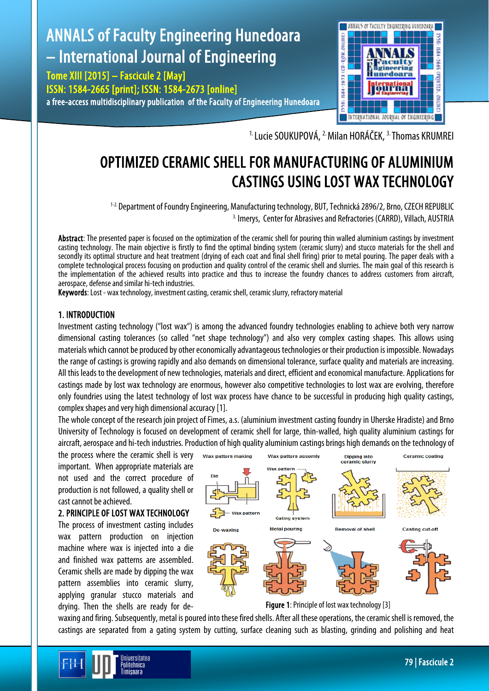# ANNALS of Faculty Engineering Hunedoara – International Journal of Engineering

Tome XIII [2015] – Fascicule 2 [May] ISSN: 1584-2665 [print]; ISSN: 1584-2673 [online] a free-access multidisciplinary publication of the Faculty of Engineering Hunedoara



<sup>1.</sup> Lucie SOUKUPOVÁ, <sup>2.</sup> Milan HORÁČEK, <sup>3.</sup> Thomas KRUMREI

# OPTIMIZED CERAMIC SHELL FOR MANUFACTURING OF ALUMINIUM CASTINGS USING LOST WAX TECHNOLOGY

 1-2. Department of Foundry Engineering, Manufacturing technology, BUT, Technická 2896/2, Brno, CZECH REPUBLIC <sup>3.</sup> Imerys, Center for Abrasives and Refractories (CARRD), Villach, AUSTRIA

Abstract: The presented paper is focused on the optimization of the ceramic shell for pouring thin walled aluminium castings by investment casting technology. The main objective is firstly to find the optimal binding system (ceramic slurry) and stucco materials for the shell and secondly its optimal structure and heat treatment (drying of each coat and final shell firing) prior to metal pouring. The paper deals with a complete technological process focusing on production and quality control of the ceramic shell and slurries. The main goal of this research is the implementation of the achieved results into practice and thus to increase the foundry chances to address customers from aircraft, aerospace, defense and similar hi-tech industries.

Keywords: Lost - wax technology, investment casting, ceramic shell, ceramic slurry, refractory material

# 1. INTRODUCTION

Investment casting technology ("lost wax") is among the advanced foundry technologies enabling to achieve both very narrow dimensional casting tolerances (so called "net shape technology") and also very complex casting shapes. This allows using materials which cannot be produced by other economically advantageous technologies or their production is impossible. Nowadays the range of castings is growing rapidly and also demands on dimensional tolerance, surface quality and materials are increasing. All this leads to the development of new technologies, materials and direct, efficient and economical manufacture. Applications for castings made by lost wax technology are enormous, however also competitive technologies to lost wax are evolving, therefore only foundries using the latest technology of lost wax process have chance to be successful in producing high quality castings, complex shapes and very high dimensional accuracy [1].

The whole concept of the research join project of Fimes, a.s. (aluminium investment casting foundry in Uherske Hradiste) and Brno University of Technology is focused on development of ceramic shell for large, thin-walled, high quality aluminium castings for aircraft, aerospace and hi-tech industries. Production of high quality aluminium castings brings high demands on the technology of

the process where the ceramic shell is very important. When appropriate materials are not used and the correct procedure of production is not followed, a quality shell or cast cannot be achieved.

#### 2. PRINCIPLE OF LOST WAX TECHNOLOGY

The process of investment casting includes wax pattern production on injection machine where wax is injected into a die and finished wax patterns are assembled. Ceramic shells are made by dipping the wax pattern assemblies into ceramic slurry, applying granular stucco materials and drying. Then the shells are ready for de-





waxing and firing. Subsequently, metal is poured into these fired shells. After all these operations, the ceramic shell is removed, the castings are separated from a gating system by cutting, surface cleaning such as blasting, grinding and polishing and heat

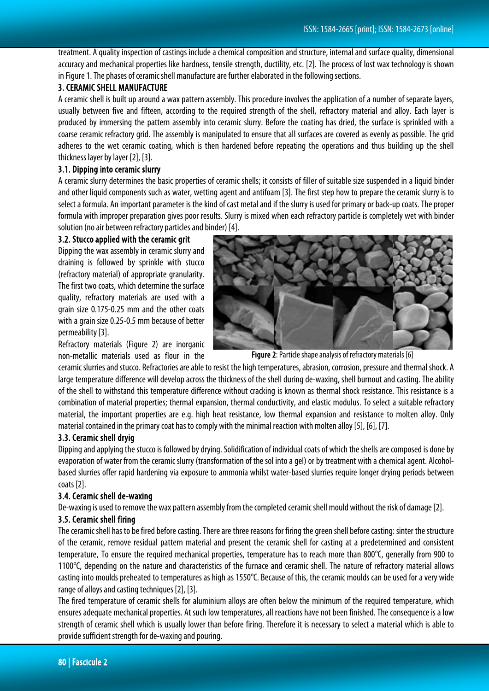treatment. A quality inspection of castings include a chemical composition and structure, internal and surface quality, dimensional accuracy and mechanical properties like hardness, tensile strength, ductility, etc. [2]. The process of lost wax technology is shown in Figure 1. The phases of ceramic shell manufacture are further elaborated in the following sections.

## 3. CERAMIC SHELL MANUFACTURE

A ceramic shell is built up around a wax pattern assembly. This procedure involves the application of a number of separate layers, usually between five and fifteen, according to the required strength of the shell, refractory material and alloy. Each layer is produced by immersing the pattern assembly into ceramic slurry. Before the coating has dried, the surface is sprinkled with a coarse ceramic refractory grid. The assembly is manipulated to ensure that all surfaces are covered as evenly as possible. The grid adheres to the wet ceramic coating, which is then hardened before repeating the operations and thus building up the shell thickness layer by layer [2], [3].

### 3.1. Dipping into ceramic slurry

A ceramic slurry determines the basic properties of ceramic shells; it consists of filler of suitable size suspended in a liquid binder and other liquid components such as water, wetting agent and antifoam [3]. The first step how to prepare the ceramic slurry is to select a formula. An important parameter is the kind of cast metal and if the slurry is used for primary or back-up coats. The proper formula with improper preparation gives poor results. Slurry is mixed when each refractory particle is completely wet with binder solution (no air between refractory particles and binder) [4].

#### 3.2. Stucco applied with the ceramic grit

Dipping the wax assembly in ceramic slurry and draining is followed by sprinkle with stucco (refractory material) of appropriate granularity. The first two coats, which determine the surface quality, refractory materials are used with a grain size 0.175-0.25 mm and the other coats with a grain size 0.25-0.5 mm because of better permeability [3].

Refractory materials (Figure 2) are inorganic non-metallic materials used as flour in the



Figure 2: Particle shape analysis of refractory materials [6]

ceramic slurries and stucco. Refractories areable to resist the high temperatures, abrasion, corrosion, pressure and thermal shock. A large temperature difference will develop across the thickness of the shell during de-waxing, shell burnout and casting. The ability of the shell to withstand this temperature difference without cracking is known as thermal shock resistance. This resistance is a combination of material properties; thermal expansion, thermal conductivity, and elastic modulus. To select a suitable refractory material, the important properties are e.g. high heat resistance, low thermal expansion and resistance to molten alloy. Only material contained in the primary coat has to comply with the minimal reaction with molten alloy [5], [6], [7].

# 3.3. Ceramic shell dryig

Dipping and applying the stucco is followed by drying. Solidification of individual coats of which the shells are composed isdone by evaporation of water from the ceramic slurry (transformation of the sol into a gel) or by treatment with a chemical agent. Alcoholbased slurries offer rapid hardening via exposure to ammonia whilst water-based slurries require longer drying periods between coats [2].

# 3.4. Ceramic shell de-waxing

De-waxing is used to remove the wax pattern assembly from the completed ceramic shell mould without the risk of damage [2].

# 3.5. Ceramic shell firing

The ceramic shell has to be fired before casting. There are three reasons for firing the green shell before casting: sinter the structure of the ceramic, remove residual pattern material and present the ceramic shell for casting at a predetermined and consistent temperature. To ensure the required mechanical properties, temperature has to reach more than 800°C, generally from 900 to 1100°C, depending on the nature and characteristics of the furnace and ceramic shell. The nature of refractory material allows casting into moulds preheated to temperatures as high as 1550°C. Because of this, the ceramic moulds can be used for a very wide range of alloys and casting techniques [2], [3].

The fired temperature of ceramic shells for aluminium alloys are often below the minimum of the required temperature, which ensures adequate mechanical properties. At such low temperatures, all reactions have not been finished. The consequence is a low strength of ceramic shell which is usually lower than before firing. Therefore it is necessary to select a material which is able to provide sufficient strength for de-waxing and pouring.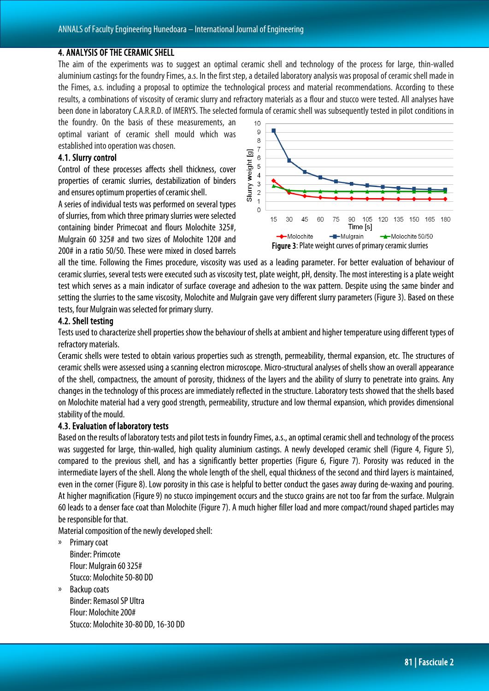### 4. ANALYSIS OF THE CERAMIC SHELL

The aim of the experiments was to suggest an optimal ceramic shell and technology of the process for large, thin-walled aluminium castings for the foundry Fimes, a.s. In the first step, a detailed laboratory analysis was proposal of ceramic shell made in the Fimes, a.s. including a proposal to optimize the technological process and material recommendations. According to these results, a combinations of viscosity of ceramic slurry and refractory materials as a flour and stucco were tested. All analyses have been done in laboratory C.A.R.R.D. of IMERYS. The selected formula of ceramic shell was subsequently tested in pilot conditions in

the foundry. On the basis of these measurements, an optimal variant of ceramic shell mould which was established into operation was chosen.

#### 4.1. Slurry control

Control of these processes affects shell thickness, cover properties of ceramic slurries, destabilization of binders and ensures optimum properties of ceramic shell.

A series of individual tests was performed on several types of slurries, from which three primary slurries were selected containing binder Primecoat and flours Molochite 325#, Mulgrain 60 325# and two sizes of Molochite 120# and 200# in a ratio 50/50. These were mixed in closed barrels



all the time. Following the Fimes procedure, viscosity was used as a leading parameter. For better evaluation of behaviour of ceramic slurries, several tests were executed such as viscosity test, plate weight, pH, density. The most interesting is a plate weight test which serves as a main indicator of surface coverage and adhesion to the wax pattern. Despite using the same binder and setting the slurries to the same viscosity, Molochite and Mulgrain gave very different slurry parameters (Figure 3). Based on these tests, four Mulgrain was selected for primary slurry.

#### 4.2. Shell testing

Tests used to characterize shell properties show the behaviour of shells at ambient and higher temperature using different types of refractory materials.

Ceramic shells were tested to obtain various properties such as strength, permeability, thermal expansion, etc. The structures of ceramic shells were assessed using a scanning electron microscope. Micro-structural analyses of shells show an overall appearance of the shell, compactness, the amount of porosity, thickness of the layers and the ability of slurry to penetrate into grains. Any changes in the technology of this process are immediately reflected in the structure. Laboratory tests showed that the shells based on Molochite material had a very good strength, permeability, structure and low thermal expansion, which provides dimensional stability of the mould.

#### 4.3. Evaluation of laboratory tests

Based on the results of laboratory tests and pilot tests in foundry Fimes, a.s., an optimal ceramic shell and technology of the process was suggested for large, thin-walled, high quality aluminium castings. A newly developed ceramic shell (Figure 4, Figure 5), compared to the previous shell, and has a significantly better properties (Figure 6, Figure 7). Porosity was reduced in the intermediate layers of the shell. Along the whole length of the shell, equal thickness of the second and third layers is maintained, even in the corner (Figure 8). Low porosity in this case is helpful to better conduct the gases away during de-waxing and pouring. At higher magnification (Figure9) no stucco impingement occurs and the stucco grains are not too far from the surface. Mulgrain 60 leads to a denser face coat than Molochite (Figure7). A much higher filler load and more compact/round shaped particles may be responsible for that.

Material composition of the newly developed shell:

- » Primary coat Binder: Primcote Flour: Mulgrain 60 325# Stucco: Molochite 50-80 DD
- » Backup coats Binder: Remasol SP Ultra Flour: Molochite 200# Stucco: Molochite 30-80 DD, 16-30 DD